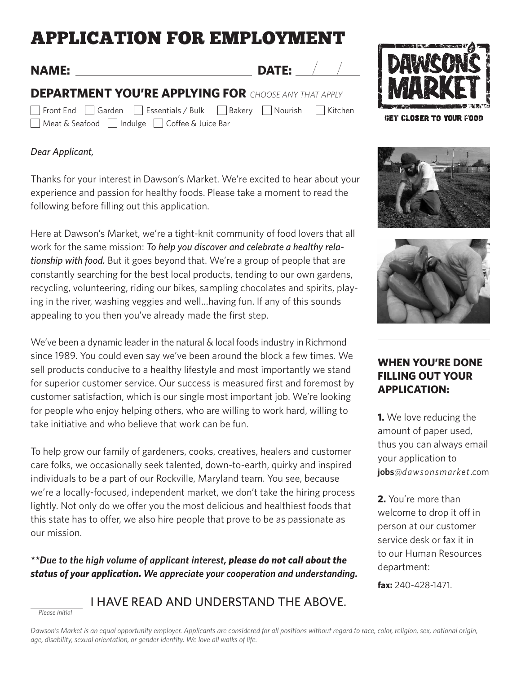# APPLICATION FOR EMPLOYMENT

**NAME: DATE:**

**DEPARTMENT YOU'RE APPLYING FOR** *CHOOSE ANY THAT APPLY*

Meat & Seafood | | Indulge | Coffee & Juice Bar

Front End | Garden | Essentials / Bulk | Bakery | Nourish | Kitchen

## *Dear Applicant,*

*Please Initial*

Thanks for your interest in Dawson's Market. We're excited to hear about your experience and passion for healthy foods. Please take a moment to read the following before filling out this application.

Here at Dawson's Market, we're a tight-knit community of food lovers that all work for the same mission: *To help you discover and celebrate a healthy relationship with food.* But it goes beyond that. We're a group of people that are constantly searching for the best local products, tending to our own gardens, recycling, volunteering, riding our bikes, sampling chocolates and spirits, playing in the river, washing veggies and well…having fun. If any of this sounds appealing to you then you've already made the first step.

We've been a dynamic leader in the natural & local foods industry in Richmond since 1989. You could even say we've been around the block a few times. We sell products conducive to a healthy lifestyle and most importantly we stand for superior customer service. Our success is measured first and foremost by customer satisfaction, which is our single most important job. We're looking for people who enjoy helping others, who are willing to work hard, willing to take initiative and who believe that work can be fun.

To help grow our family of gardeners, cooks, creatives, healers and customer care folks, we occasionally seek talented, down-to-earth, quirky and inspired individuals to be a part of our Rockville, Maryland team. You see, because we're a locally-focused, independent market, we don't take the hiring process lightly. Not only do we offer you the most delicious and healthiest foods that this state has to offer, we also hire people that prove to be as passionate as our mission.

*\*\*Due to the high volume of applicant interest, please do not call about the status of your application. We appreciate your cooperation and understanding.*

## I HAVE READ AND UNDERSTAND THE ABOVE.



GET CLOSER TO YOUR FOOD





## **WHEN YOU'RE DONE FILLING OUT YOUR APPLICATION:**

**1.** We love reducing the amount of paper used, thus you can always email your application to **jobs**@*dawsonsmarket*.com

**2.** You're more than welcome to drop it off in person at our customer service desk or fax it in to our Human Resources department:

**fax:** 240-428-1471.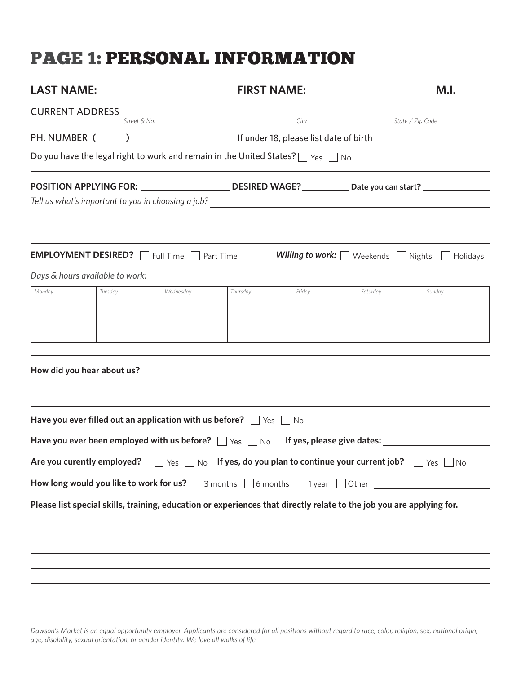## PAGE 1: PERSONAL INFORMATION

| Street & No.                                                                                                           |         | City<br>State / Zip Code |          |        |                                                              |                                                                                               |  |
|------------------------------------------------------------------------------------------------------------------------|---------|--------------------------|----------|--------|--------------------------------------------------------------|-----------------------------------------------------------------------------------------------|--|
| PH. NUMBER (                                                                                                           |         |                          |          |        |                                                              |                                                                                               |  |
| Do you have the legal right to work and remain in the United States? $\Box$ Yes $\Box$ No                              |         |                          |          |        |                                                              |                                                                                               |  |
| POSITION APPLYING FOR: DESIRED WAGE? Date you can start?                                                               |         |                          |          |        |                                                              |                                                                                               |  |
|                                                                                                                        |         |                          |          |        |                                                              |                                                                                               |  |
|                                                                                                                        |         |                          |          |        |                                                              |                                                                                               |  |
|                                                                                                                        |         |                          |          |        |                                                              |                                                                                               |  |
| <b>EMPLOYMENT DESIRED?</b> Full Time Part Time                                                                         |         |                          |          |        | <b>Willing to work:</b> $\Box$ Weekends $\Box$ Nights $\Box$ | Holidays                                                                                      |  |
| Days & hours available to work:                                                                                        |         |                          |          |        |                                                              |                                                                                               |  |
| Monday                                                                                                                 | Tuesday | Wednesday                | Thursday | Friday | Saturday                                                     | Sunday                                                                                        |  |
|                                                                                                                        |         |                          |          |        |                                                              |                                                                                               |  |
|                                                                                                                        |         |                          |          |        |                                                              |                                                                                               |  |
|                                                                                                                        |         |                          |          |        |                                                              |                                                                                               |  |
|                                                                                                                        |         |                          |          |        |                                                              |                                                                                               |  |
|                                                                                                                        |         |                          |          |        |                                                              |                                                                                               |  |
|                                                                                                                        |         |                          |          |        |                                                              |                                                                                               |  |
|                                                                                                                        |         |                          |          |        |                                                              |                                                                                               |  |
| Have you ever filled out an application with us before? $\Box$ Yes $\Box$ No                                           |         |                          |          |        |                                                              |                                                                                               |  |
| Have you ever been employed with us before? $\Box$ Yes $\Box$ No If yes, please give dates:                            |         |                          |          |        |                                                              |                                                                                               |  |
|                                                                                                                        |         |                          |          |        |                                                              |                                                                                               |  |
| Are you curently employed? $\Box$ Yes $\Box$ No If yes, do you plan to continue your current job? $\Box$ Yes $\Box$ No |         |                          |          |        |                                                              |                                                                                               |  |
|                                                                                                                        |         |                          |          |        |                                                              | How long would you like to work for us? 3 months 5 6 months 5 1 year 5 Other 5 1 year 5 Other |  |
| Please list special skills, training, education or experiences that directly relate to the job you are applying for.   |         |                          |          |        |                                                              |                                                                                               |  |
|                                                                                                                        |         |                          |          |        |                                                              |                                                                                               |  |
|                                                                                                                        |         |                          |          |        |                                                              |                                                                                               |  |
|                                                                                                                        |         |                          |          |        |                                                              |                                                                                               |  |
|                                                                                                                        |         |                          |          |        |                                                              |                                                                                               |  |
|                                                                                                                        |         |                          |          |        |                                                              |                                                                                               |  |
|                                                                                                                        |         |                          |          |        |                                                              |                                                                                               |  |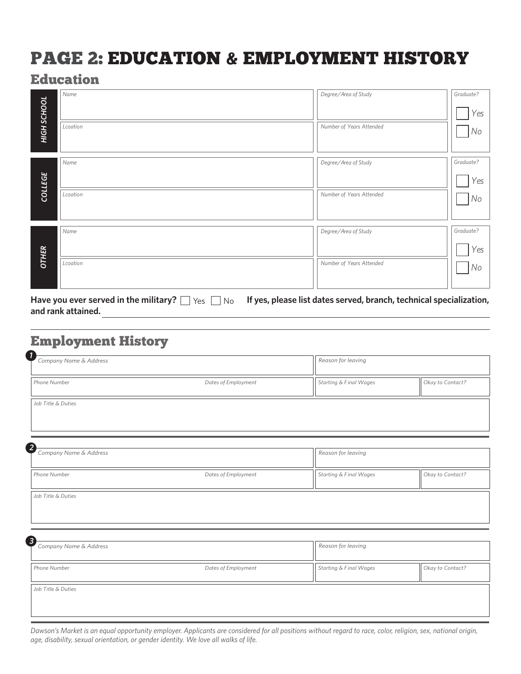# PAGE 2: EDUCATION & EMPLOYMENT HISTORY

## Education

|                | Name                                                      | Degree/Area of Study                                                | Graduate? |
|----------------|-----------------------------------------------------------|---------------------------------------------------------------------|-----------|
|                |                                                           |                                                                     | Yes       |
| HIGH SCHOOL    | Lcoation                                                  | Number of Years Attended                                            | No        |
|                | Name                                                      | Degree/Area of Study                                                | Graduate? |
| <b>COLLEGE</b> |                                                           |                                                                     | Yes       |
|                | Lcoation                                                  | Number of Years Attended                                            | No        |
|                | Name                                                      | Degree/Area of Study                                                | Graduate? |
|                |                                                           |                                                                     | Yes       |
| <b>OTHER</b>   | Lcoation                                                  | Number of Years Attended                                            | No        |
|                | Have you ever served in the military? $\Box$<br>Yes<br>No | If yes, please list dates served, branch, technical specialization, |           |
|                |                                                           |                                                                     |           |

## Employment History

**and rank attained.**

| 1<br>Company Name & Address |                     | Reason for leaving     |                  |  |  |
|-----------------------------|---------------------|------------------------|------------------|--|--|
| Phone Number                | Dates of Employment | Starting & Final Wages | Okay to Contact? |  |  |
| Job Title & Duties          |                     |                        |                  |  |  |
| Company Name & Address      |                     | Reason for leaving     |                  |  |  |
| Phone Number                | Dates of Employment | Starting & Final Wages | Okay to Contact? |  |  |
| Job Title & Duties          |                     |                        |                  |  |  |
| Company Name & Address      |                     | Reason for leaving     |                  |  |  |
| Phone Number                | Dates of Employment | Starting & Final Wages | Okay to Contact? |  |  |
| Job Title & Duties          |                     |                        |                  |  |  |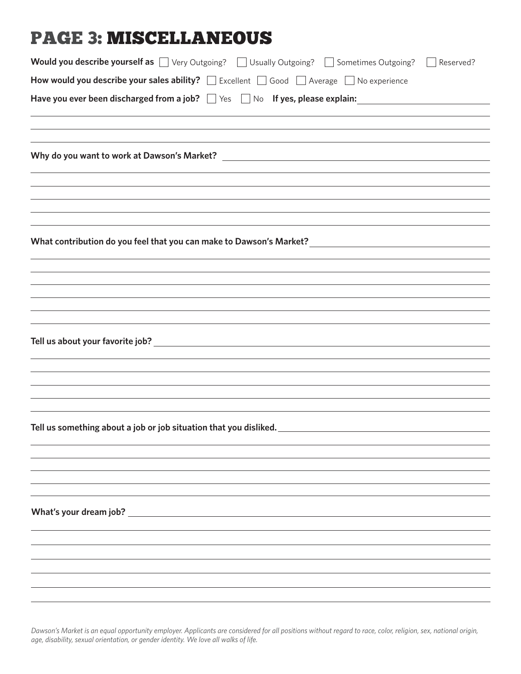# PAGE 3: MISCELLANEOUS

| Would you describe yourself as Wery Outgoing? Usually Outgoing? Sometimes Outgoing?<br>Reserved?                       |
|------------------------------------------------------------------------------------------------------------------------|
| How would you describe your sales ability? $\Box$ Excellent $\Box$ Good $\Box$ Average $\Box$ No experience            |
|                                                                                                                        |
| ,我们也不能会有什么。""我们的人,我们也不能会有什么?""我们的人,我们也不能会有什么?""我们的人,我们也不能会有什么?""我们的人,我们也不能会有什么?""                                      |
| ,我们也不会有什么。""我们的人,我们也不会有什么?""我们的人,我们也不会有什么?""我们的人,我们也不会有什么?""我们的人,我们也不会有什么?""我们的人                                       |
|                                                                                                                        |
|                                                                                                                        |
| ,我们也不能在这里的时候,我们也不能在这里的时候,我们也不能在这里的时候,我们也不能会在这里的时候,我们也不能会在这里的时候,我们也不能会在这里的时候,我们也不能                                      |
|                                                                                                                        |
|                                                                                                                        |
|                                                                                                                        |
|                                                                                                                        |
|                                                                                                                        |
| <u> 1989 - Andrea Santana, amerikana amerikana amerikana amerikana amerikana amerikana amerikana amerikana amerika</u> |
| Tell us something about a job or job situation that you disliked.                                                      |
|                                                                                                                        |
|                                                                                                                        |
|                                                                                                                        |
|                                                                                                                        |
|                                                                                                                        |
|                                                                                                                        |
|                                                                                                                        |
|                                                                                                                        |
|                                                                                                                        |
|                                                                                                                        |
|                                                                                                                        |